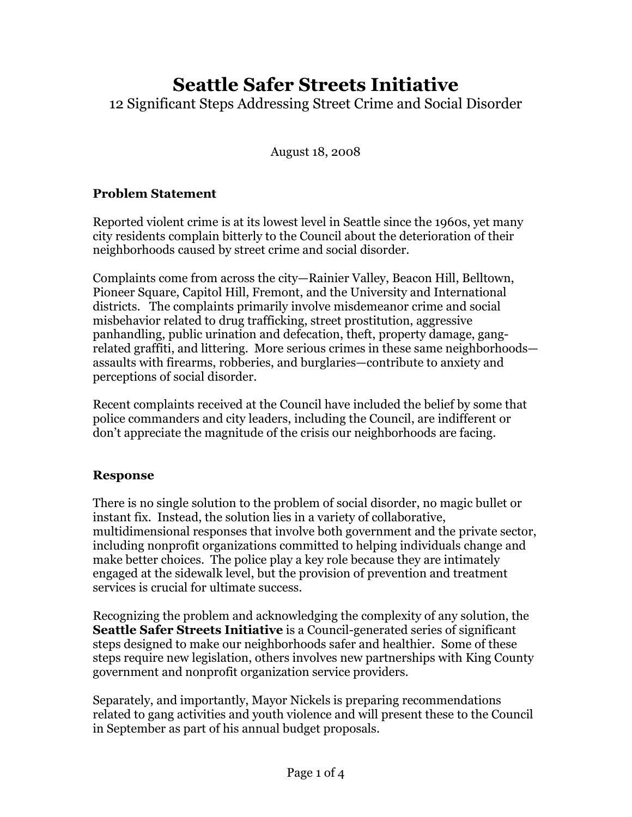# Seattle Safer Streets Initiative

12 Significant Steps Addressing Street Crime and Social Disorder

August 18, 2008

## Problem Statement

Reported violent crime is at its lowest level in Seattle since the 1960s, yet many city residents complain bitterly to the Council about the deterioration of their neighborhoods caused by street crime and social disorder.

Complaints come from across the city—Rainier Valley, Beacon Hill, Belltown, Pioneer Square, Capitol Hill, Fremont, and the University and International districts. The complaints primarily involve misdemeanor crime and social misbehavior related to drug trafficking, street prostitution, aggressive panhandling, public urination and defecation, theft, property damage, gangrelated graffiti, and littering. More serious crimes in these same neighborhoods assaults with firearms, robberies, and burglaries—contribute to anxiety and perceptions of social disorder.

Recent complaints received at the Council have included the belief by some that police commanders and city leaders, including the Council, are indifferent or don't appreciate the magnitude of the crisis our neighborhoods are facing.

### Response

There is no single solution to the problem of social disorder, no magic bullet or instant fix. Instead, the solution lies in a variety of collaborative, multidimensional responses that involve both government and the private sector, including nonprofit organizations committed to helping individuals change and make better choices. The police play a key role because they are intimately engaged at the sidewalk level, but the provision of prevention and treatment services is crucial for ultimate success.

Recognizing the problem and acknowledging the complexity of any solution, the Seattle Safer Streets Initiative is a Council-generated series of significant steps designed to make our neighborhoods safer and healthier. Some of these steps require new legislation, others involves new partnerships with King County government and nonprofit organization service providers.

Separately, and importantly, Mayor Nickels is preparing recommendations related to gang activities and youth violence and will present these to the Council in September as part of his annual budget proposals.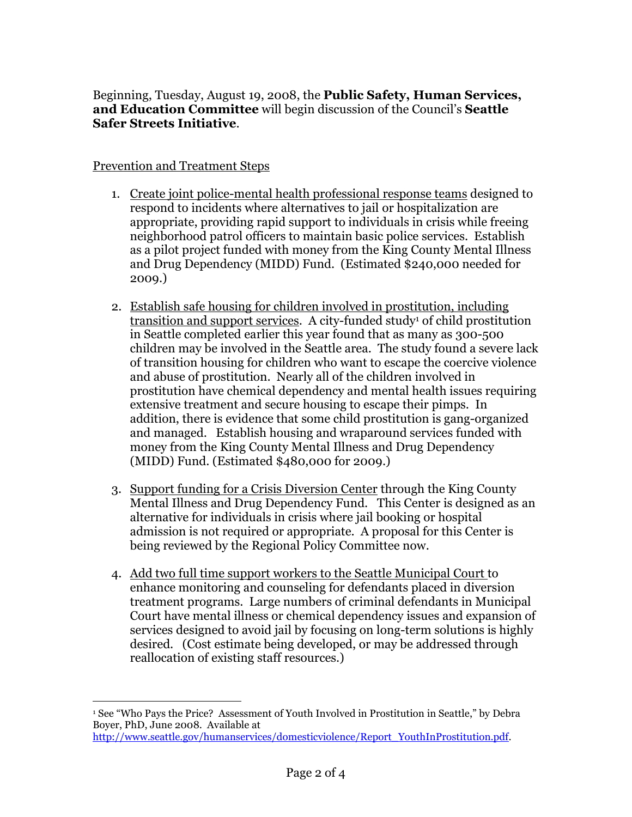Beginning, Tuesday, August 19, 2008, the Public Safety, Human Services, and Education Committee will begin discussion of the Council's Seattle Safer Streets Initiative.

#### Prevention and Treatment Steps

-

- 1. Create joint police-mental health professional response teams designed to respond to incidents where alternatives to jail or hospitalization are appropriate, providing rapid support to individuals in crisis while freeing neighborhood patrol officers to maintain basic police services. Establish as a pilot project funded with money from the King County Mental Illness and Drug Dependency (MIDD) Fund. (Estimated \$240,000 needed for 2009.)
- 2. Establish safe housing for children involved in prostitution, including <u>transition and support services</u>. A city-funded study<sup>1</sup> of child prostitution in Seattle completed earlier this year found that as many as 300-500 children may be involved in the Seattle area. The study found a severe lack of transition housing for children who want to escape the coercive violence and abuse of prostitution. Nearly all of the children involved in prostitution have chemical dependency and mental health issues requiring extensive treatment and secure housing to escape their pimps. In addition, there is evidence that some child prostitution is gang-organized and managed. Establish housing and wraparound services funded with money from the King County Mental Illness and Drug Dependency (MIDD) Fund. (Estimated \$480,000 for 2009.)
- 3. Support funding for a Crisis Diversion Center through the King County Mental Illness and Drug Dependency Fund. This Center is designed as an alternative for individuals in crisis where jail booking or hospital admission is not required or appropriate. A proposal for this Center is being reviewed by the Regional Policy Committee now.
- 4. Add two full time support workers to the Seattle Municipal Court to enhance monitoring and counseling for defendants placed in diversion treatment programs. Large numbers of criminal defendants in Municipal Court have mental illness or chemical dependency issues and expansion of services designed to avoid jail by focusing on long-term solutions is highly desired. (Cost estimate being developed, or may be addressed through reallocation of existing staff resources.)

<sup>1</sup> See "Who Pays the Price? Assessment of Youth Involved in Prostitution in Seattle," by Debra Boyer, PhD, June 2008. Available at http://www.seattle.gov/humanservices/domesticviolence/Report\_YouthInProstitution.pdf.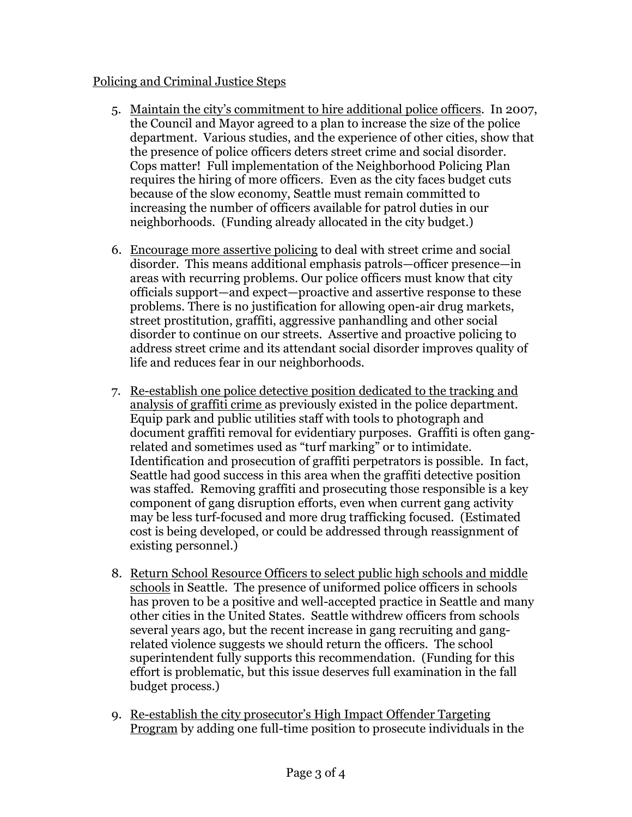#### Policing and Criminal Justice Steps

- 5. Maintain the city's commitment to hire additional police officers. In 2007, the Council and Mayor agreed to a plan to increase the size of the police department. Various studies, and the experience of other cities, show that the presence of police officers deters street crime and social disorder. Cops matter! Full implementation of the Neighborhood Policing Plan requires the hiring of more officers. Even as the city faces budget cuts because of the slow economy, Seattle must remain committed to increasing the number of officers available for patrol duties in our neighborhoods. (Funding already allocated in the city budget.)
- 6. Encourage more assertive policing to deal with street crime and social disorder. This means additional emphasis patrols—officer presence—in areas with recurring problems. Our police officers must know that city officials support—and expect—proactive and assertive response to these problems. There is no justification for allowing open-air drug markets, street prostitution, graffiti, aggressive panhandling and other social disorder to continue on our streets. Assertive and proactive policing to address street crime and its attendant social disorder improves quality of life and reduces fear in our neighborhoods.
- 7. Re-establish one police detective position dedicated to the tracking and analysis of graffiti crime as previously existed in the police department. Equip park and public utilities staff with tools to photograph and document graffiti removal for evidentiary purposes. Graffiti is often gangrelated and sometimes used as "turf marking" or to intimidate. Identification and prosecution of graffiti perpetrators is possible. In fact, Seattle had good success in this area when the graffiti detective position was staffed. Removing graffiti and prosecuting those responsible is a key component of gang disruption efforts, even when current gang activity may be less turf-focused and more drug trafficking focused. (Estimated cost is being developed, or could be addressed through reassignment of existing personnel.)
- 8. Return School Resource Officers to select public high schools and middle schools in Seattle. The presence of uniformed police officers in schools has proven to be a positive and well-accepted practice in Seattle and many other cities in the United States. Seattle withdrew officers from schools several years ago, but the recent increase in gang recruiting and gangrelated violence suggests we should return the officers. The school superintendent fully supports this recommendation. (Funding for this effort is problematic, but this issue deserves full examination in the fall budget process.)
- 9. Re-establish the city prosecutor's High Impact Offender Targeting Program by adding one full-time position to prosecute individuals in the